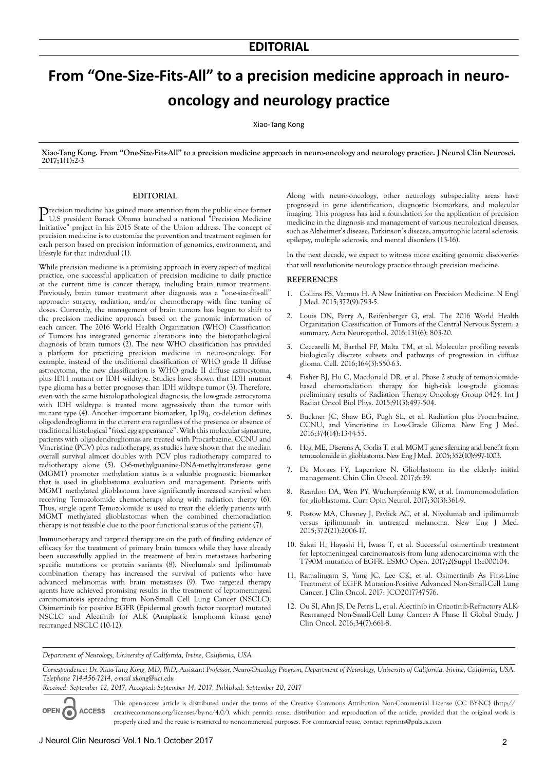## **From "One-Size-Fits-All" to a precision medicine approach in neurooncology and neurology practice**

Xiao-Tang Kong

**Xiao-Tang Kong. From "One-Size-Fits-All" to a precision medicine approach in neuro-oncology and neurology practice. J Neurol Clin Neurosci. 2017;1(1):2-3**

## **EDITORIAL**

Precision medicine has gained more attention from the public since former<br>U.S president Barack Obama launched a national "Precision Medicine" Initiative" project in his 2015 State of the Union address. The concept of precision medicine is to customize the prevention and treatment regimen for each person based on precision information of genomics, environment, and lifestyle for that individual (1).

While precision medicine is a promising approach in every aspect of medical practice, one successful application of precision medicine to daily practice at the current time is cancer therapy, including brain tumor treatment. Previously, brain tumor treatment after diagnosis was a "one-size-fits-all" approach: surgery, radiation, and/or chemotherapy with fine tuning of doses. Currently, the management of brain tumors has begun to shift to the precision medicine approach based on the genomic information of each cancer. The 2016 World Health Organization (WHO) Classification of Tumors has integrated genomic alterations into the histopathological diagnosis of brain tumors (2). The new WHO classification has provided a platform for practicing precision medicine in neuro-oncology. For example, instead of the traditional classification of WHO grade II diffuse astrocytoma, the new classification is WHO grade II diffuse astrocytoma, plus IDH mutant or IDH wildtype. Studies have shown that IDH mutant type glioma has a better prognoses than IDH wildtype tumor (3). Therefore, even with the same histolopathological diagnosis, the low-grade astrocytoma with IDH wildtype is treated more aggressively than the tumor with mutant type (4). Another important biomarker, 1p19q, co-deletion defines oligodendroglioma in the current era regardless of the presence or absence of traditional histological "fried egg appearance". With this molecular signature, patients with oligodendrogliomas are treated with Procarbazine, CCNU and Vincristine (PCV) plus radiotherapy, as studies have shown that the median overall survival almost doubles with PCV plus radiotherapy compared to radiotherapy alone (5). O-6-methylguanine-DNA-methyltransferase gene (MGMT) promoter methylation status is a valuable prognostic biomarker that is used in glioblastoma evaluation and management. Patients with MGMT methylated glioblastoma have significantly increased survival when receiving Temozolomide chemotherapy along with radiation therpy (6). Thus, single agent Temozolomide is used to treat the elderly patients with MGMT methylated glioblastomas when the combined chemoradiation therapy is not feasible due to the poor functional status of the patient (7).

Immunotherapy and targeted therapy are on the path of finding evidence of efficacy for the treatment of primary brain tumors while they have already been successfully applied in the treatment of brain metastases harboring specific mutations or protein variants (8). Nivolumab and Ipilimumab combination therapy has increased the survival of patients who have advanced melanomas with brain metastases (9). Two targeted therapy agents have achieved promising results in the treatment of leptomeningeal carcinomatosis spreading from Non-Small Cell Lung Cancer (NSCLC): Osimertinib for positive EGFR (Epidermal growth factor receptor) mutated NSCLC and Alectinib for ALK (Anaplastic lymphoma kinase gene) rearranged NSCLC (10-12).

Along with neuro-oncology, other neurology subspeciality areas have progressed in gene identification, diagnostic biomarkers, and molecular imaging. This progress has laid a foundation for the application of precision medicine in the diagnosis and management of various neurological diseases, such as Alzheimer's disease, Parkinson's disease, amyotrophic lateral sclerosis, epilepsy, multiple sclerosis, and mental disorders (13-16).

In the next decade, we expect to witness more exciting genomic discoveries that will revolutionize neurology practice through precision medicine.

## **REFERENCES**

- 1. Collins FS, Varmus H. A New Initiative on Precision Medicine. N Engl J Med. 2015;372(9):793-5.
- 2. Louis DN, Perry A, Reifenberger G, etal. The 2016 World Health Organization Classification of Tumors of the Central Nervous System: a summary. Acta Neuropathol. 2016;131(6): 803-20.
- 3. Ceccarelli M, Barthel FP, Malta TM, et al. Molecular profiling reveals biologically discrete subsets and pathways of progression in diffuse glioma. Cell. 2016;164(3):550-63.
- 4. Fisher BJ, Hu C, Macdonald DR, et al. Phase 2 study of temozolomidebased chemoradiation therapy for high-risk low-grade gliomas: preliminary results of Radiation Therapy Oncology Group 0424. Int J Radiat Oncol Biol Phys. 2015;91(3):497-504.
- 5. Buckner JC, Shaw EG, Pugh SL, et al. Radiation plus Procarbazine, CCNU, and Vincristine in Low-Grade Glioma. New Eng J Med. 2016;374(14):1344-55.
- 6. Heg, ME, Diserens A, Gorlia T, et al. MGMT gene silencing and benefit from temozolomide in glioblastoma. New Eng J Med. 2005;352(10):997-1003.
- 7. De Moraes FY, Laperriere N. Glioblastoma in the elderly: initial management. Chin Clin Oncol. 2017;6:39.
- 8. Reardon DA, Wen PY, Wucherpfennig KW, et al. Immunomodulation for glioblastoma. Curr Opin Neurol. 2017;30(3):361-9.
- Postow MA, Chesney J, Pavlick AC, et al. Nivolumab and ipilimumab versus ipilimumab in untreated melanoma. New Eng J Med. 2015;372(21):2006-17.
- 10. Sakai H, Hayashi H, Iwasa T, et al. Successful osimertinib treatment for leptomeningeal carcinomatosis from lung adenocarcinoma with the T790M mutation of EGFR. ESMO Open. 2017;2(Suppl 1):e000104.
- 11. Ramalingam S, Yang JC, Lee CK, et al. Osimertinib As First-Line Treatment of EGFR Mutation-Positive Advanced Non-Small-Cell Lung Cancer. J Clin Oncol. 2017; JCO2017747576.
- 12. Ou SI, Ahn JS, De Petris L, et al. Alectinib in Crizotinib-Refractory ALK-Rearranged Non-Small-Cell Lung Cancer: A Phase II Global Study. J Clin Oncol. 2016;34(7):661-8.

*Department of Neurology, University of California, Irvine, California, USA*

*Correspondence: Dr. Xiao-Tang Kong, MD, PhD, Assistant Professor, Neuro-Oncology Program, Department of Neurology, University of California, Irivine, California, USA. Telephone 714-456-7214, e-mail xkong@uci.edu*

*Received: September 12, 2017, Accepted: September 14, 2017, Published: September 20, 2017*

This open-access article is distributed under the terms of the Creative Commons Attribution Non-Commercial License (CC BY-NC) (http:// OPEN O **ACCESS** creativecommons.org/licenses/by-nc/4.0/), which permits reuse, distribution and reproduction of the article, provided that the original work is properly cited and the reuse is restricted to noncommercial purposes. For commercial reuse, contact reprints@pulsus.com